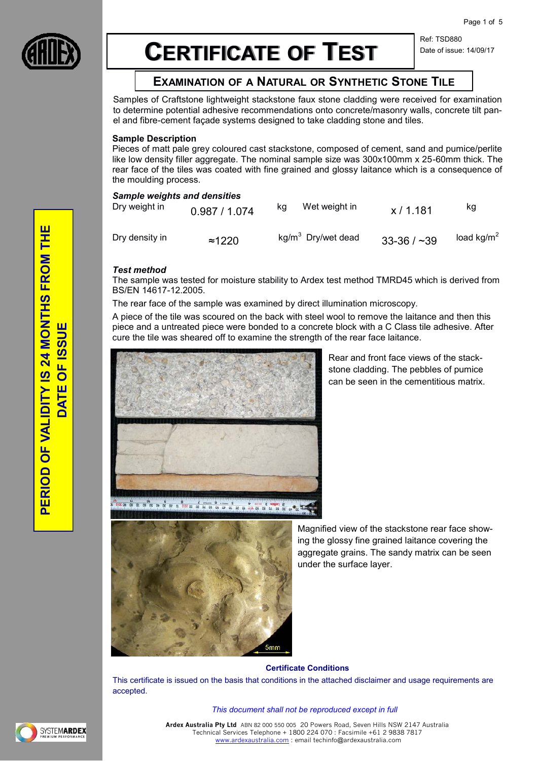

# **CERTIFICATE OF TEST**

Ref: TSD880 Date of issue: 14/09/17

# **EXAMINATION OF A NATURAL OR SYNTHETIC STONE TILE**

Samples of Craftstone lightweight stackstone faux stone cladding were received for examination to determine potential adhesive recommendations onto concrete/masonry walls, concrete tilt panel and fibre-cement façade systems designed to take cladding stone and tiles.

# **Sample Description**

Pieces of matt pale grey coloured cast stackstone, composed of cement, sand and pumice/perlite like low density filler aggregate. The nominal sample size was 300x100mm x 25-60mm thick. The rear face of the tiles was coated with fine grained and glossy laitance which is a consequence of the moulding process.

# *Sample weights and densities*

| <u>Cample weights and densities</u><br>Dry weight in | 0.987 / 1.074  | ka | Wet weight in                  | x/1.181         | κg                     |
|------------------------------------------------------|----------------|----|--------------------------------|-----------------|------------------------|
| Dry density in                                       | $\approx$ 1220 |    | kg/m <sup>3</sup> Dry/wet dead | $33 - 36 / -39$ | load kg/m <sup>2</sup> |

#### *Test method*

The sample was tested for moisture stability to Ardex test method TMRD45 which is derived from BS/EN 14617-12.2005.

The rear face of the sample was examined by direct illumination microscopy.

A piece of the tile was scoured on the back with steel wool to remove the laitance and then this piece and a untreated piece were bonded to a concrete block with a C Class tile adhesive. After cure the tile was sheared off to examine the strength of the rear face laitance.



Rear and front face views of the stackstone cladding. The pebbles of pumice can be seen in the cementitious matrix.



Magnified view of the stackstone rear face showing the glossy fine grained laitance covering the aggregate grains. The sandy matrix can be seen under the surface layer.

#### **Certificate Conditions**

This certificate is issued on the basis that conditions in the attached disclaimer and usage requirements are accepted.

*This document shall not be reproduced except in full*



**Ardex Australia Pty Ltd** ABN 82 000 550 005 20 Powers Road, Seven Hills NSW 2147 Australia Technical Services Telephone + 1800 224 070 : Facsimile +61 2 9838 7817 [www.ardexaustralia.com :](http://www.ardexaustralia.com/) email techinfo@ardexaustralia.com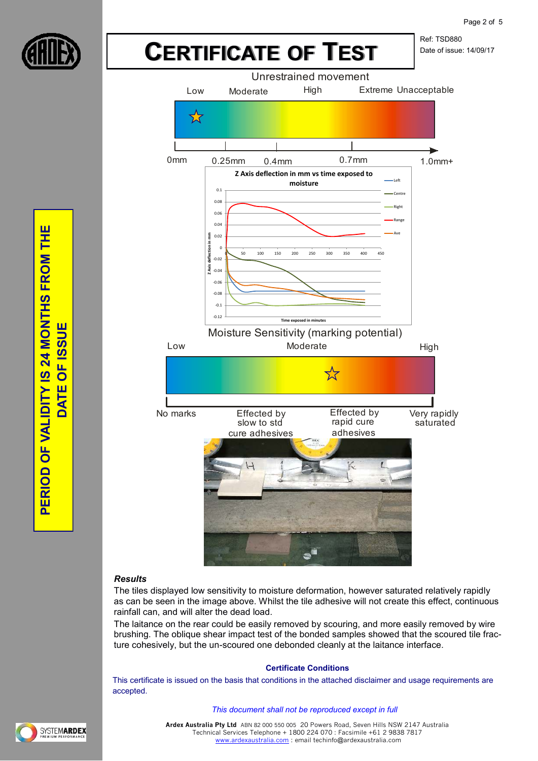

Ref: TSD880 Date of issue: 14/09/17



# *Results*

The tiles displayed low sensitivity to moisture deformation, however saturated relatively rapidly as can be seen in the image above. Whilst the tile adhesive will not create this effect, continuous rainfall can, and will alter the dead load.

The laitance on the rear could be easily removed by scouring, and more easily removed by wire brushing. The oblique shear impact test of the bonded samples showed that the scoured tile fracture cohesively, but the un-scoured one debonded cleanly at the laitance interface.

# **Certificate Conditions**

This certificate is issued on the basis that conditions in the attached disclaimer and usage requirements are accepted.

#### *This document shall not be reproduced except in full*

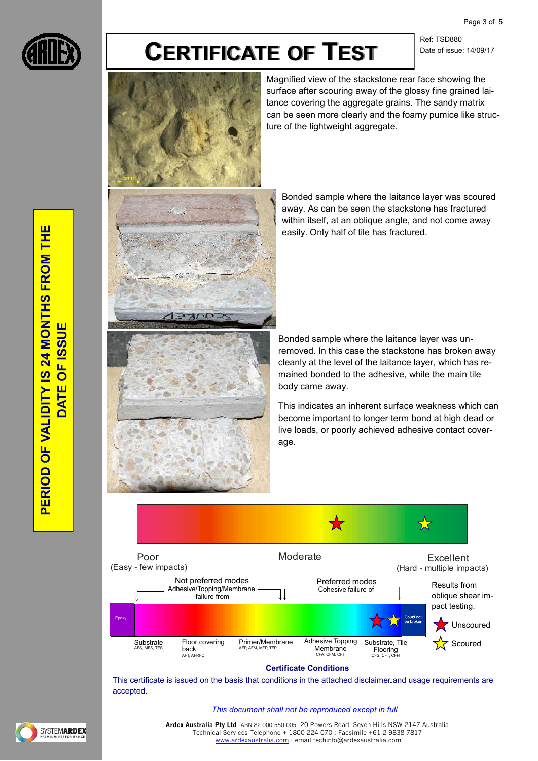Page 3 of 5



# **CERTIFICATE OF TEST**

Ref: TSD880 Date of issue: 14/09/17



Magnified view of the stackstone rear face showing the surface after scouring away of the glossy fine grained laitance covering the aggregate grains. The sandy matrix can be seen more clearly and the foamy pumice like structure of the lightweight aggregate.

Bonded sample where the laitance layer was scoured away. As can be seen the stackstone has fractured within itself, at an oblique angle, and not come away easily. Only half of tile has fractured.

Bonded sample where the laitance layer was unremoved. In this case the stackstone has broken away cleanly at the level of the laitance layer, which has remained bonded to the adhesive, while the main tile body came away.

This indicates an inherent surface weakness which can become important to longer term bond at high dead or live loads, or poorly achieved adhesive contact coverage.



# **Certificate Conditions**

This certificate is issued on the basis that conditions in the attached disclaimer and usage requirements are accepted.

#### *This document shall not be reproduced except in full*



**Ardex Australia Pty Ltd** ABN 82 000 550 005 20 Powers Road, Seven Hills NSW 2147 Australia Technical Services Telephone + 1800 224 070 : Facsimile +61 2 9838 7817 [www.ardexaustralia.com :](http://www.ardexaustralia.com/) email techinfo@ardexaustralia.com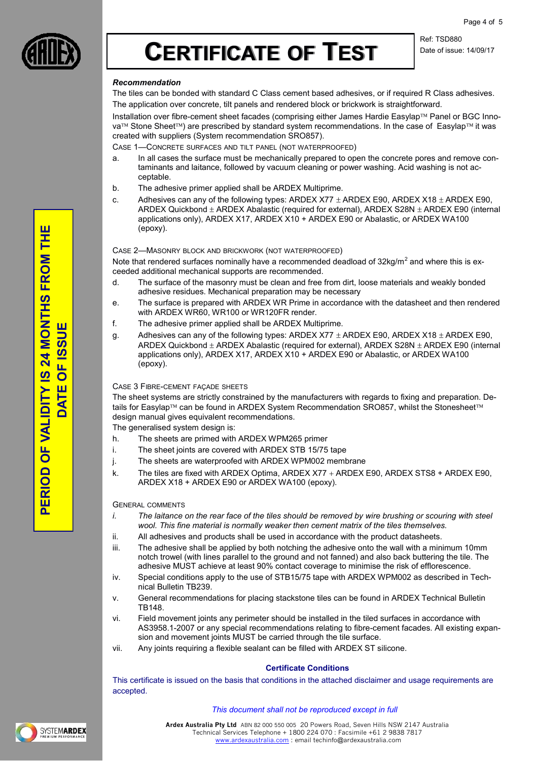

Ref: TSD880 Date of issue: 14/09/17

### *Recommendation*

The tiles can be bonded with standard C Class cement based adhesives, or if required R Class adhesives. The application over concrete, tilt panels and rendered block or brickwork is straightforward.

Installation over fibre-cement sheet facades (comprising either James Hardie Easylap™ Panel or BGC Innova<sup>™</sup> Stone Sheet<sup>™</sup>) are prescribed by standard system recommendations. In the case of Easylap<sup>™</sup> it was created with suppliers (System recommendation SRO857).

CASE 1—CONCRETE SURFACES AND TILT PANEL (NOT WATERPROOFED)

- a. In all cases the surface must be mechanically prepared to open the concrete pores and remove contaminants and laitance, followed by vacuum cleaning or power washing. Acid washing is not acceptable.
- b. The adhesive primer applied shall be ARDEX Multiprime.
- c. Adhesives can any of the following types: ARDEX X77  $\pm$  ARDEX E90, ARDEX X18  $\pm$  ARDEX E90, ARDEX Quickbond  $\pm$  ARDEX Abalastic (required for external), ARDEX S28N  $\pm$  ARDEX E90 (internal applications only), ARDEX X17, ARDEX X10 + ARDEX E90 or Abalastic, or ARDEX WA100 (epoxy).

#### CASE 2—MASONRY BLOCK AND BRICKWORK (NOT WATERPROOFED)

Note that rendered surfaces nominally have a recommended deadload of 32kg/m<sup>2</sup> and where this is exceeded additional mechanical supports are recommended.

- d. The surface of the masonry must be clean and free from dirt, loose materials and weakly bonded adhesive residues. Mechanical preparation may be necessary
- e. The surface is prepared with ARDEX WR Prime in accordance with the datasheet and then rendered with ARDEX WR60, WR100 or WR120FR render.
- f. The adhesive primer applied shall be ARDEX Multiprime.
- g. Adhesives can any of the following types: ARDEX X77  $\pm$  ARDEX E90, ARDEX X18  $\pm$  ARDEX E90, ARDEX Quickbond  $\pm$  ARDEX Abalastic (required for external), ARDEX S28N  $\pm$  ARDEX E90 (internal applications only), ARDEX X17, ARDEX X10 + ARDEX E90 or Abalastic, or ARDEX WA100 (epoxy).

#### CASE 3 FIBRE-CEMENT FAÇADE SHEETS

The sheet systems are strictly constrained by the manufacturers with regards to fixing and preparation. Details for Easylap™ can be found in ARDEX System Recommendation SRO857, whilst the Stonesheet™ design manual gives equivalent recommendations.

The generalised system design is:

- h. The sheets are primed with ARDEX WPM265 primer
- i. The sheet joints are covered with ARDEX STB 15/75 tape
- j. The sheets are waterproofed with ARDEX WPM002 membrane
- k. The tiles are fixed with ARDEX Optima, ARDEX X77 + ARDEX E90, ARDEX STS8 + ARDEX E90, ARDEX X18 + ARDEX E90 or ARDEX WA100 (epoxy).

#### GENERAL COMMENTS

- *i. The laitance on the rear face of the tiles should be removed by wire brushing or scouring with steel wool. This fine material is normally weaker then cement matrix of the tiles themselves.*
- ii. All adhesives and products shall be used in accordance with the product datasheets.
- iii. The adhesive shall be applied by both notching the adhesive onto the wall with a minimum 10mm notch trowel (with lines parallel to the ground and not fanned) and also back buttering the tile. The adhesive MUST achieve at least 90% contact coverage to minimise the risk of efflorescence.
- iv. Special conditions apply to the use of STB15/75 tape with ARDEX WPM002 as described in Technical Bulletin TB239.
- v. General recommendations for placing stackstone tiles can be found in ARDEX Technical Bulletin TB148.
- vi. Field movement joints any perimeter should be installed in the tiled surfaces in accordance with AS3958.1-2007 or any special recommendations relating to fibre-cement facades. All existing expansion and movement joints MUST be carried through the tile surface.
- vii. Any joints requiring a flexible sealant can be filled with ARDEX ST silicone.

#### **Certificate Conditions**

This certificate is issued on the basis that conditions in the attached disclaimer and usage requirements are accepted.

#### *This document shall not be reproduced except in full*



**PERIOD OF VALIDITY IS 24 MONTHS FROM THE**  PERIOD OF VALIDITY IS 24 MONTHS FROM THE **DATE OF ISSUE SU** OF IS. **DATE**